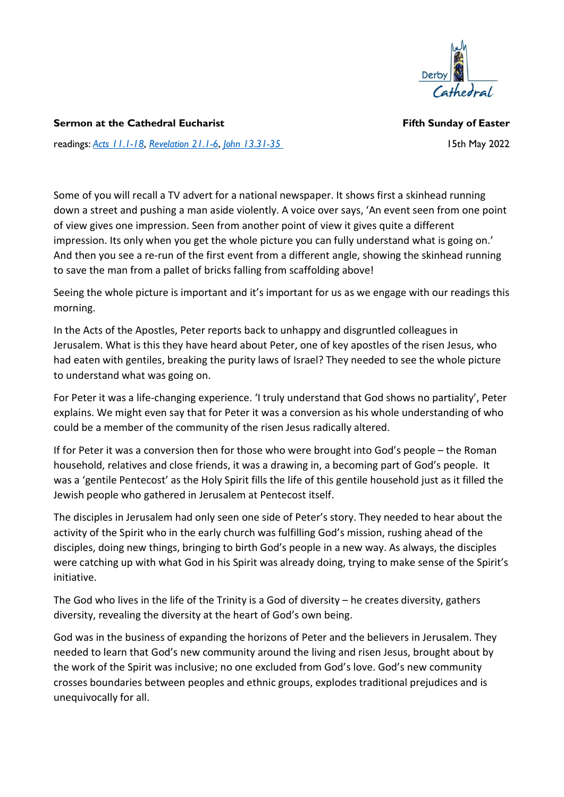

Sermon at the Cathedral Eucharist **Fifth Sunday of Easter** Fifth Sunday of Easter

readings: Acts 11.1-18, Revelation 21.1-6, John 13.31-35 15th May 2022

Some of you will recall a TV advert for a national newspaper. It shows first a skinhead running down a street and pushing a man aside violently. A voice over says, 'An event seen from one point of view gives one impression. Seen from another point of view it gives quite a different impression. Its only when you get the whole picture you can fully understand what is going on.' And then you see a re-run of the first event from a different angle, showing the skinhead running to save the man from a pallet of bricks falling from scaffolding above!

Seeing the whole picture is important and it's important for us as we engage with our readings this morning.

In the Acts of the Apostles, Peter reports back to unhappy and disgruntled colleagues in Jerusalem. What is this they have heard about Peter, one of key apostles of the risen Jesus, who had eaten with gentiles, breaking the purity laws of Israel? They needed to see the whole picture to understand what was going on.

For Peter it was a life-changing experience. 'I truly understand that God shows no partiality', Peter explains. We might even say that for Peter it was a conversion as his whole understanding of who could be a member of the community of the risen Jesus radically altered.

If for Peter it was a conversion then for those who were brought into God's people – the Roman household, relatives and close friends, it was a drawing in, a becoming part of God's people. It was a 'gentile Pentecost' as the Holy Spirit fills the life of this gentile household just as it filled the Jewish people who gathered in Jerusalem at Pentecost itself.

The disciples in Jerusalem had only seen one side of Peter's story. They needed to hear about the activity of the Spirit who in the early church was fulfilling God's mission, rushing ahead of the disciples, doing new things, bringing to birth God's people in a new way. As always, the disciples were catching up with what God in his Spirit was already doing, trying to make sense of the Spirit's initiative.

The God who lives in the life of the Trinity is a God of diversity – he creates diversity, gathers diversity, revealing the diversity at the heart of God's own being.

God was in the business of expanding the horizons of Peter and the believers in Jerusalem. They needed to learn that God's new community around the living and risen Jesus, brought about by the work of the Spirit was inclusive; no one excluded from God's love. God's new community crosses boundaries between peoples and ethnic groups, explodes traditional prejudices and is unequivocally for all.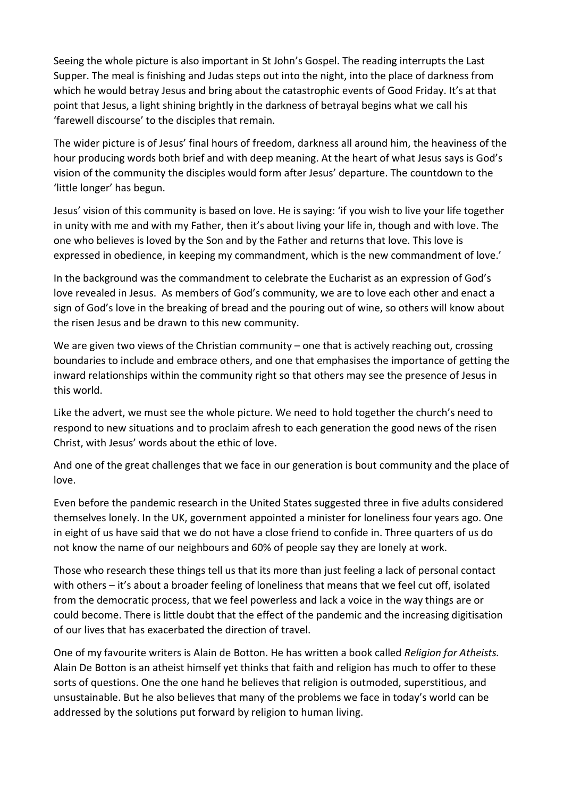Seeing the whole picture is also important in St John's Gospel. The reading interrupts the Last Supper. The meal is finishing and Judas steps out into the night, into the place of darkness from which he would betray Jesus and bring about the catastrophic events of Good Friday. It's at that point that Jesus, a light shining brightly in the darkness of betrayal begins what we call his 'farewell discourse' to the disciples that remain.

The wider picture is of Jesus' final hours of freedom, darkness all around him, the heaviness of the hour producing words both brief and with deep meaning. At the heart of what Jesus says is God's vision of the community the disciples would form after Jesus' departure. The countdown to the 'little longer' has begun.

Jesus' vision of this community is based on love. He is saying: 'if you wish to live your life together in unity with me and with my Father, then it's about living your life in, though and with love. The one who believes is loved by the Son and by the Father and returns that love. This love is expressed in obedience, in keeping my commandment, which is the new commandment of love.'

In the background was the commandment to celebrate the Eucharist as an expression of God's love revealed in Jesus. As members of God's community, we are to love each other and enact a sign of God's love in the breaking of bread and the pouring out of wine, so others will know about the risen Jesus and be drawn to this new community.

We are given two views of the Christian community – one that is actively reaching out, crossing boundaries to include and embrace others, and one that emphasises the importance of getting the inward relationships within the community right so that others may see the presence of Jesus in this world.

Like the advert, we must see the whole picture. We need to hold together the church's need to respond to new situations and to proclaim afresh to each generation the good news of the risen Christ, with Jesus' words about the ethic of love.

And one of the great challenges that we face in our generation is bout community and the place of love.

Even before the pandemic research in the United States suggested three in five adults considered themselves lonely. In the UK, government appointed a minister for loneliness four years ago. One in eight of us have said that we do not have a close friend to confide in. Three quarters of us do not know the name of our neighbours and 60% of people say they are lonely at work.

Those who research these things tell us that its more than just feeling a lack of personal contact with others – it's about a broader feeling of loneliness that means that we feel cut off, isolated from the democratic process, that we feel powerless and lack a voice in the way things are or could become. There is little doubt that the effect of the pandemic and the increasing digitisation of our lives that has exacerbated the direction of travel.

One of my favourite writers is Alain de Botton. He has written a book called Religion for Atheists. Alain De Botton is an atheist himself yet thinks that faith and religion has much to offer to these sorts of questions. One the one hand he believes that religion is outmoded, superstitious, and unsustainable. But he also believes that many of the problems we face in today's world can be addressed by the solutions put forward by religion to human living.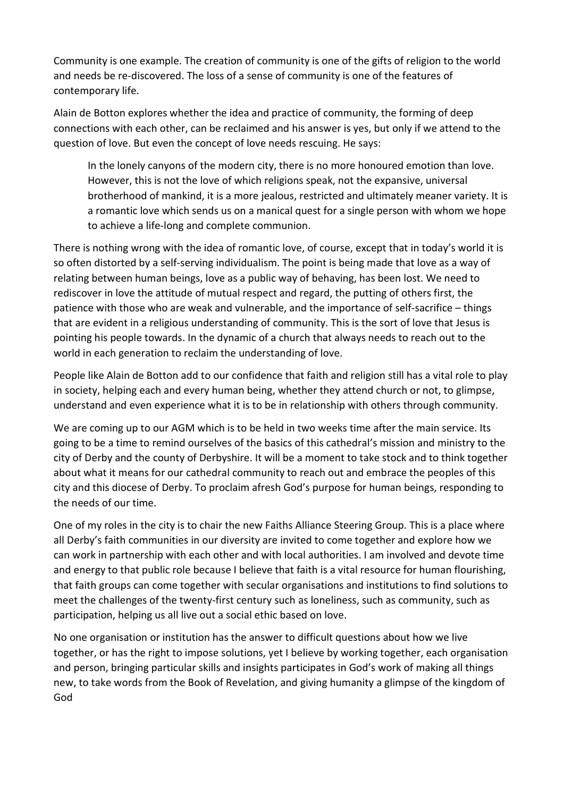Community is one example. The creation of community is one of the gifts of religion to the world and needs be re-discovered. The loss of a sense of community is one of the features of contemporary life.

Alain de Botton explores whether the idea and practice of community, the forming of deep connections with each other, can be reclaimed and his answer is yes, but only if we attend to the question of love. But even the concept of love needs rescuing. He says:

In the lonely canyons of the modern city, there is no more honoured emotion than love. However, this is not the love of which religions speak, not the expansive, universal brotherhood of mankind, it is a more jealous, restricted and ultimately meaner variety. It is a romantic love which sends us on a manical quest for a single person with whom we hope to achieve a life-long and complete communion.

There is nothing wrong with the idea of romantic love, of course, except that in today's world it is so often distorted by a self-serving individualism. The point is being made that love as a way of relating between human beings, love as a public way of behaving, has been lost. We need to rediscover in love the attitude of mutual respect and regard, the putting of others first, the patience with those who are weak and vulnerable, and the importance of self-sacrifice – things that are evident in a religious understanding of community. This is the sort of love that Jesus is pointing his people towards. In the dynamic of a church that always needs to reach out to the world in each generation to reclaim the understanding of love.

People like Alain de Botton add to our confidence that faith and religion still has a vital role to play in society, helping each and every human being, whether they attend church or not, to glimpse, understand and even experience what it is to be in relationship with others through community.

We are coming up to our AGM which is to be held in two weeks time after the main service. Its going to be a time to remind ourselves of the basics of this cathedral's mission and ministry to the city of Derby and the county of Derbyshire. It will be a moment to take stock and to think together about what it means for our cathedral community to reach out and embrace the peoples of this city and this diocese of Derby. To proclaim afresh God's purpose for human beings, responding to the needs of our time.

One of my roles in the city is to chair the new Faiths Alliance Steering Group. This is a place where all Derby's faith communities in our diversity are invited to come together and explore how we can work in partnership with each other and with local authorities. I am involved and devote time and energy to that public role because I believe that faith is a vital resource for human flourishing, that faith groups can come together with secular organisations and institutions to find solutions to meet the challenges of the twenty-first century such as loneliness, such as community, such as participation, helping us all live out a social ethic based on love.

No one organisation or institution has the answer to difficult questions about how we live together, or has the right to impose solutions, yet I believe by working together, each organisation and person, bringing particular skills and insights participates in God's work of making all things new, to take words from the Book of Revelation, and giving humanity a glimpse of the kingdom of God